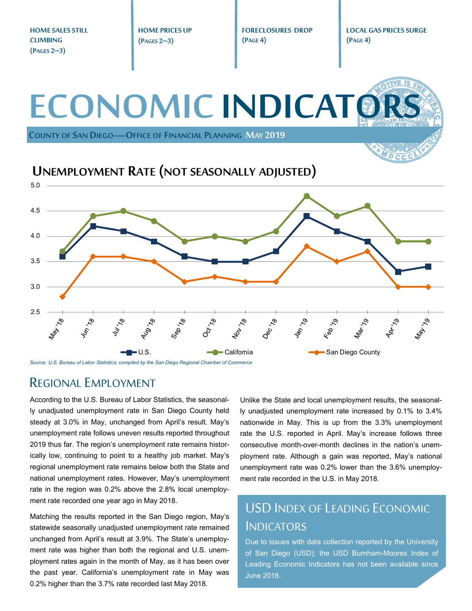**HOME SALES STILL HOME PRICES UP FORECLOSURES DROP LOCAL GAS PRICES SURGE CLIMBING (PAGE 4) (PAGES 2–3) (PAGE 4) (PAGES 2–3) ECONOMIC INDICATO COUNTY OF SAN DIEGO—OFFICE OF FINANCIAL PLANNING MAY 2019 UNEMPLOYMENT RATE (NOT SEASONALLY ADJUSTED)** 5.0 4.5 4.0 3.5 3.0 2.5 Jun 18 **Aug 76 Van 190 Apr** 79 May 19 Vulley **181**  $\mathcal{S}'$ May. Feb., 11<sub>92.11</sub> ್ನೊ U.S. California San Diego County

*Source: U.S. Bureau of Labor Statistics; compiled by the San Diego Regional Chamber of Commerce* 

## REGIONAL EMPLOYMENT

According to the U.S. Bureau of Labor Statistics, the seasonally unadjusted unemployment rate in San Diego County held steady at 3.0% in May, unchanged from April's result. May's unemployment rate follows uneven results reported throughout 2019 thus far. The region's unemployment rate remains historically low, continuing to point to a healthy job market. May's regional unemployment rate remains below both the State and national unemployment rates. However, May's unemployment rate in the region was 0.2% above the 2.8% local unemployment rate recorded one year ago in May 2018.

Matching the results reported in the San Diego region, May's statewide seasonally unadjusted unemployment rate remained unchanged from April's result at 3.9%. The State's unemployment rate was higher than both the regional and U.S. unemployment rates again in the month of May, as it has been over the past year. California's unemployment rate in May was 0.2% higher than the 3.7% rate recorded last May 2018.

Unlike the State and local unemployment results, the seasonally unadjusted unemployment rate increased by 0.1% to 3.4% nationwide in May. This is up from the 3.3% unemployment rate the U.S. reported in April. May's increase follows three consecutive month-over-month declines in the nation's unemployment rate. Although a gain was reported, May's national unemployment rate was 0.2% lower than the 3.6% unemployment rate recorded in the U.S. in May 2018.

# USD INDEX OF LEADING ECONOMIC **INDICATORS**

Due to issues with data collection reported by the University of San Diego (USD), the USD Burnham-Moores Index of Leading Economic Indicators has not been available since June 2018.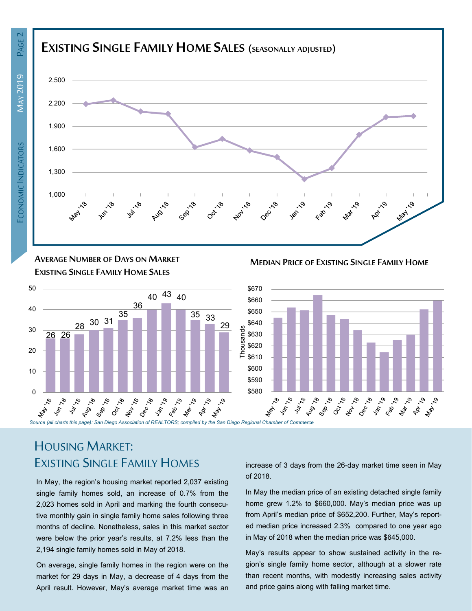

**AVERAGE NUMBER OF DAYS ON MARKET EXISTING SINGLE FAMILY HOME SALES**



# HOUSING MARKET: EXISTING SINGLE FAMILY HOMES

In May, the region's housing market reported 2,037 existing single family homes sold, an increase of 0.7% from the 2,023 homes sold in April and marking the fourth consecutive monthly gain in single family home sales following three months of decline. Nonetheless, sales in this market sector were below the prior year's results, at 7.2% less than the 2,194 single family homes sold in May of 2018.

On average, single family homes in the region were on the market for 29 days in May, a decrease of 4 days from the April result. However, May's average market time was an increase of 3 days from the 26-day market time seen in May of 2018.

**MEDIAN PRICE OF EXISTING SINGLE FAMILY HOME**

In May the median price of an existing detached single family home grew 1.2% to \$660,000. May's median price was up from April's median price of \$652,200. Further, May's reported median price increased 2.3% compared to one year ago in May of 2018 when the median price was \$645,000.

May's results appear to show sustained activity in the region's single family home sector, although at a slower rate than recent months, with modestly increasing sales activity and price gains along with falling market time.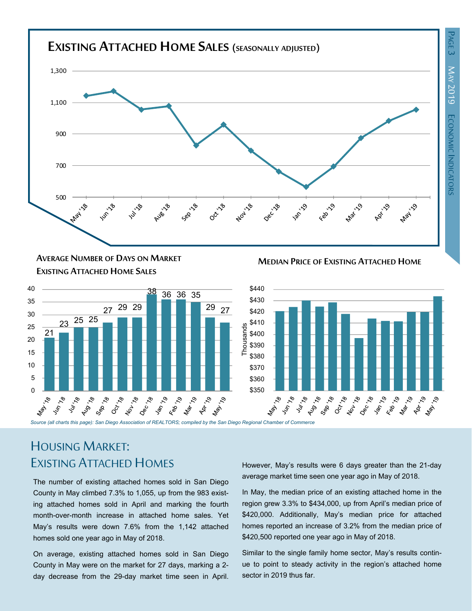

**MEDIAN PRICE OF EXISTING ATTACHED HOME AVERAGE NUMBER OF DAYS ON MARKET EXISTING ATTACHED HOME SALES**





# HOUSING MARKET: EXISTING ATTACHED HOMES

The number of existing attached homes sold in San Diego County in May climbed 7.3% to 1,055, up from the 983 existing attached homes sold in April and marking the fourth month-over-month increase in attached home sales. Yet May's results were down 7.6% from the 1,142 attached homes sold one year ago in May of 2018.

On average, existing attached homes sold in San Diego County in May were on the market for 27 days, marking a 2 day decrease from the 29-day market time seen in April. However, May's results were 6 days greater than the 21-day average market time seen one year ago in May of 2018.

In May, the median price of an existing attached home in the region grew 3.3% to \$434,000, up from April's median price of \$420,000. Additionally, May's median price for attached homes reported an increase of 3.2% from the median price of \$420,500 reported one year ago in May of 2018.

Similar to the single family home sector, May's results continue to point to steady activity in the region's attached home sector in 2019 thus far.